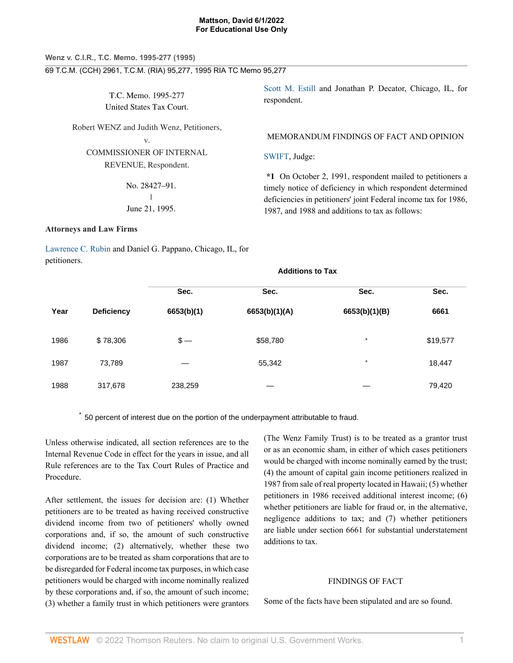# **Wenz v. C.I.R., T.C. Memo. 1995-277 (1995)** 69 T.C.M. (CCH) 2961, T.C.M. (RIA) 95,277, 1995 RIA TC Memo 95,277

T.C. Memo. 1995-277 United States Tax Court.

Robert WENZ and Judith Wenz, Petitioners,

v.

COMMISSIONER OF INTERNAL REVENUE, Respondent.

> No. 28427–91.  $\mathbf{I}$ | June 21, 1995.

# **Attorneys and Law Firms**

[Lawrence C. Rubin](http://www.westlaw.com/Link/Document/FullText?findType=h&pubNum=176284&cite=0193223901&originatingDoc=I727f4a69b5f511d991d0cc6b54f12d4d&refType=RQ&originationContext=document&vr=3.0&rs=cblt1.0&transitionType=DocumentItem&contextData=(sc.UserEnteredCitation)) and Daniel G. Pappano, Chicago, IL, for petitioners.

[Scott M. Estill](http://www.westlaw.com/Link/Document/FullText?findType=h&pubNum=176284&cite=0292565901&originatingDoc=I727f4a69b5f511d991d0cc6b54f12d4d&refType=RQ&originationContext=document&vr=3.0&rs=cblt1.0&transitionType=DocumentItem&contextData=(sc.UserEnteredCitation)) and Jonathan P. Decator, Chicago, IL, for respondent.

MEMORANDUM FINDINGS OF FACT AND OPINION

# [SWIFT,](http://www.westlaw.com/Link/Document/FullText?findType=h&pubNum=176284&cite=0108773001&originatingDoc=I727f4a69b5f511d991d0cc6b54f12d4d&refType=RQ&originationContext=document&vr=3.0&rs=cblt1.0&transitionType=DocumentItem&contextData=(sc.UserEnteredCitation)) Judge:

**\*1** On October 2, 1991, respondent mailed to petitioners a timely notice of deficiency in which respondent determined deficiencies in petitioners' joint Federal income tax for 1986, 1987, and 1988 and additions to tax as follows:

|      |                   | Sec.       | Sec.          | Sec.          | Sec.     |  |
|------|-------------------|------------|---------------|---------------|----------|--|
| Year | <b>Deficiency</b> | 6653(b)(1) | 6653(b)(1)(A) | 6653(b)(1)(B) | 6661     |  |
| 1986 | \$78,306          | $$-$       | \$58,780      | $\star$       | \$19,577 |  |
| 1987 | 73,789            | —          | 55,342        | $\star$       | 18,447   |  |
| 1988 | 317,678           | 238,259    |               |               | 79,420   |  |

**Additions to Tax**

\* 50 percent of interest due on the portion of the underpayment attributable to fraud.

Unless otherwise indicated, all section references are to the Internal Revenue Code in effect for the years in issue, and all Rule references are to the Tax Court Rules of Practice and Procedure.

After settlement, the issues for decision are: (1) Whether petitioners are to be treated as having received constructive dividend income from two of petitioners' wholly owned corporations and, if so, the amount of such constructive dividend income; (2) alternatively, whether these two corporations are to be treated as sham corporations that are to be disregarded for Federal income tax purposes, in which case petitioners would be charged with income nominally realized by these corporations and, if so, the amount of such income; (3) whether a family trust in which petitioners were grantors

(The Wenz Family Trust) is to be treated as a grantor trust or as an economic sham, in either of which cases petitioners would be charged with income nominally earned by the trust; (4) the amount of capital gain income petitioners realized in 1987 from sale of real property located in Hawaii; (5) whether petitioners in 1986 received additional interest income; (6) whether petitioners are liable for fraud or, in the alternative, negligence additions to tax; and (7) whether petitioners are liable under section 6661 for substantial understatement additions to tax.

### FINDINGS OF FACT

Some of the facts have been stipulated and are so found.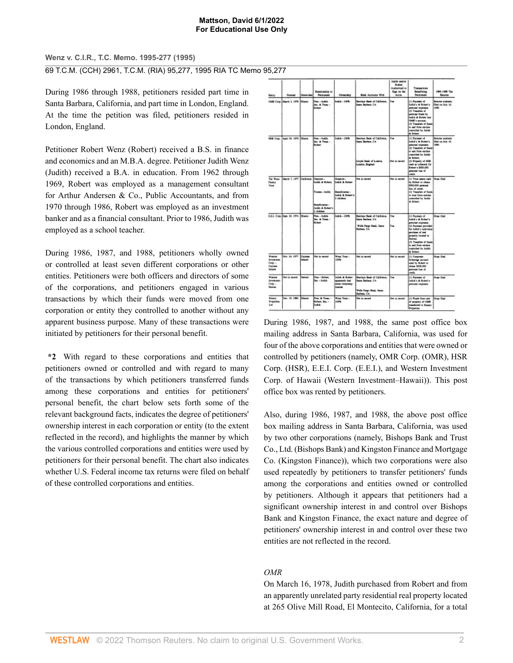**Wenz v. C.I.R., T.C. Memo. 1995-277 (1995)**

69 T.C.M. (CCH) 2961, T.C.M. (RIA) 95,277, 1995 RIA TC Memo 95,277

During 1986 through 1988, petitioners resided part time in Santa Barbara, California, and part time in London, England. At the time the petition was filed, petitioners resided in London, England.

Petitioner Robert Wenz (Robert) received a B.S. in finance and economics and an M.B.A. degree. Petitioner Judith Wenz (Judith) received a B.A. in education. From 1962 through 1969, Robert was employed as a management consultant for Arthur Andersen & Co., Public Accountants, and from 1970 through 1986, Robert was employed as an investment banker and as a financial consultant. Prior to 1986, Judith was employed as a school teacher.

During 1986, 1987, and 1988, petitioners wholly owned or controlled at least seven different corporations or other entities. Petitioners were both officers and directors of some of the corporations, and petitioners engaged in various transactions by which their funds were moved from one corporation or entity they controlled to another without any apparent business purpose. Many of these transactions were initiated by petitioners for their personal benefit.

**\*2** With regard to these corporations and entities that petitioners owned or controlled and with regard to many of the transactions by which petitioners transferred funds among these corporations and entities for petitioners' personal benefit, the chart below sets forth some of the relevant background facts, indicates the degree of petitioners' ownership interest in each corporation or entity (to the extent reflected in the record), and highlights the manner by which the various controlled corporations and entities were used by petitioners for their personal benefit. The chart also indicates whether U.S. Federal income tax returns were filed on behalf of these controlled corporations and entities.

| Emiry                                                           | <b>Formed</b>                       | Domiciad          | Ratazionable so-<br>Perkissan                                                                             | Ownership                                                                                                  | Bank Accounts With                                                                                    | Judich and/or<br>Robert<br>Authorized to<br>Sign on the<br>Accus. | Transactions<br><b>Deneficing</b><br>Pattioners                                                                                                                                                                                                                     | 1985-1988 Tax<br>Returns                             |
|-----------------------------------------------------------------|-------------------------------------|-------------------|-----------------------------------------------------------------------------------------------------------|------------------------------------------------------------------------------------------------------------|-------------------------------------------------------------------------------------------------------|-------------------------------------------------------------------|---------------------------------------------------------------------------------------------------------------------------------------------------------------------------------------------------------------------------------------------------------------------|------------------------------------------------------|
| <b>COMR Corp.</b>                                               | March 3, 1978 (Miseix               |                   | wa - Judith<br>Inc. & Trees -<br>Robert                                                                   | <b>Subt - 1076</b>                                                                                         | <b>Review Red of California.</b><br><b>Septe Barbers, CA</b>                                          | TH.                                                               | (1) Payment of<br>Judità's & Robert's<br>ратьский индивидер.<br>(2) Transfers of<br>personal funds by<br>Judith & Robert Inte<br><b>CONT's announce</b><br>(3) Transfers of funds<br>to and from excities<br>controlled by Judith<br>A Robert                       | <b>Selens solendy</b><br>filed on July 16.<br>1000   |
|                                                                 | HSR Corp. April 30, 1976   Silgers  |                   | Pres - Fudets.<br>Sec. & Trees<br><b>Robert</b>                                                           | <b>Julia - 1994</b>                                                                                        | Barclays Bank of California.<br>Santa Barbara, CA<br>Lioyès Bank of London.<br>Loados, England        | lv.<br>Not in record                                              | (1) Premant of<br>Judith's & Hobert's<br>personal expenses.<br>(2) Transfers of funds<br>to and from excition<br>reservited by Judith<br>A Robert<br>(3) Property of HSR<br>used as colleaned for<br>Robert's \$500,000<br>personal line of<br>could.               | Returns undersity<br>Filed on July 18.<br><b>TWE</b> |
| The West<br>Family<br>Twee                                      | March 7, 1977 California Chapters-  |                   | India & Bobert<br>Trustee - Judità<br><b>Beneficiaries</b><br><b>Solida &amp; Robert's</b><br>$1$ diddens | Grassom -<br><b>Judith &amp; Scheel</b><br>Beneficiarias -<br><b>Tellide &amp; Statent's</b><br>2 children | Not in money                                                                                          | Not in record                                                     | (1) Trust assets used None filed<br>by Robert to obtain<br>\$300,000 personal<br>line of reeds:<br>(2) Transfers of Austin<br>to trust from entities<br>consolid by Julia.<br>A Robert                                                                              |                                                      |
|                                                                 | E.E.I. Com- Sept. 30, 1974   Simola |                   | Pres - Judith<br>Inc. & Trees. -<br><b>Technology</b>                                                     | <b>Padric - 1976</b>                                                                                       | Barriare Bank of California.<br>Santa Radwa, CA<br>Wells Forge Dask, Sura<br>Barbara, CA              | Vm.<br>Yes                                                        | <b>LU Payment of</b><br>Judith's A Robert's<br>personal expenses.<br>(1) Payment provided<br>For Judith's individual<br>parchase of real<br>property located in<br><b>Hewak</b><br>[3] Trendlers of funds<br>to and from resides<br>compiled by Judith<br>A Robert. | None filed                                           |
| Wagas<br><b>Investment</b><br>Corp.<br>Ceyman<br><b>Islands</b> | Nov. 34, 1977                       | Cayman<br>Intende | Not in record                                                                                             | Wass Trust -<br>100%                                                                                       | Not in record                                                                                         | Net in record                                                     | [1] Carporate<br>teolooge account<br>used by Robert to<br>single \$500,000<br>personal line of<br>credit.                                                                                                                                                           | New filed                                            |
| Wagan.<br><b>Investment</b><br>Com-<br><b>Hamse</b>             | Not in monet                        | <b>Hawaii</b>     | Pres. - Robert.<br>Sec - Fedets                                                                           | Jabit & Robert<br>apparently had<br>cidense vers<br>ierrei.                                                | <b>Exclare Rask of California.</b><br>Sans Barbara, CA<br>Wells Fargo Bank, Santo<br><b>Extern CA</b> | Yw.                                                               | (1) Payment of<br><b>Belida's A Robert's</b><br>регионаl словника                                                                                                                                                                                                   | None Elect                                           |
| <b>Bisney</b><br>Properties.<br>Lui.                            | Dec. 19, 1980 Eliacos               |                   | Free, & Trees. -<br>Robert, Sec. -<br><b>Index</b>                                                        | West Trust<br>100%                                                                                         | <b>Not in moved</b>                                                                                   | Not in record                                                     | (1) Posts from sale<br>of peoperty of GMS.<br>treatered to Europe<br>Properties.                                                                                                                                                                                    | None filed                                           |

During 1986, 1987, and 1988, the same post office box mailing address in Santa Barbara, California, was used for four of the above corporations and entities that were owned or controlled by petitioners (namely, OMR Corp. (OMR), HSR Corp. (HSR), E.E.I. Corp. (E.E.I.), and Western Investment Corp. of Hawaii (Western Investment–Hawaii)). This post office box was rented by petitioners.

Also, during 1986, 1987, and 1988, the above post office box mailing address in Santa Barbara, California, was used by two other corporations (namely, Bishops Bank and Trust Co., Ltd. (Bishops Bank) and Kingston Finance and Mortgage Co. (Kingston Finance)), which two corporations were also used repeatedly by petitioners to transfer petitioners' funds among the corporations and entities owned or controlled by petitioners. Although it appears that petitioners had a significant ownership interest in and control over Bishops Bank and Kingston Finance, the exact nature and degree of petitioners' ownership interest in and control over these two entities are not reflected in the record.

# *OMR*

On March 16, 1978, Judith purchased from Robert and from an apparently unrelated party residential real property located at 265 Olive Mill Road, El Montecito, California, for a total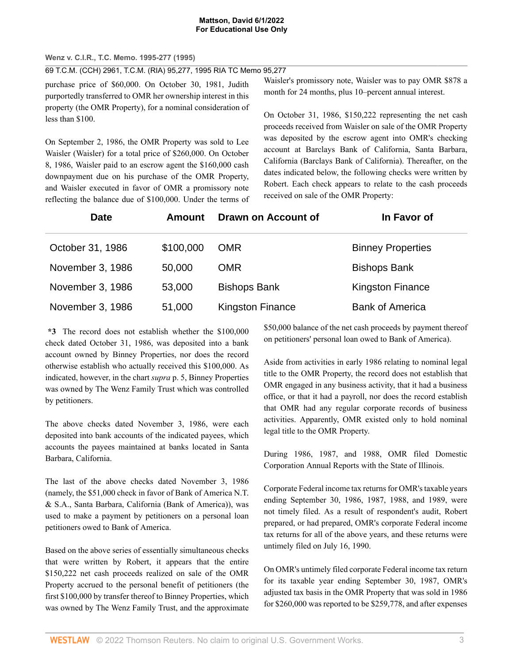# **Wenz v. C.I.R., T.C. Memo. 1995-277 (1995)**

69 T.C.M. (CCH) 2961, T.C.M. (RIA) 95,277, 1995 RIA TC Memo 95,277

purchase price of \$60,000. On October 30, 1981, Judith purportedly transferred to OMR her ownership interest in this property (the OMR Property), for a nominal consideration of less than \$100.

On September 2, 1986, the OMR Property was sold to Lee Waisler (Waisler) for a total price of \$260,000. On October 8, 1986, Waisler paid to an escrow agent the \$160,000 cash downpayment due on his purchase of the OMR Property, and Waisler executed in favor of OMR a promissory note reflecting the balance due of \$100,000. Under the terms of

Waisler's promissory note, Waisler was to pay OMR \$878 a month for 24 months, plus 10–percent annual interest.

On October 31, 1986, \$150,222 representing the net cash proceeds received from Waisler on sale of the OMR Property was deposited by the escrow agent into OMR's checking account at Barclays Bank of California, Santa Barbara, California (Barclays Bank of California). Thereafter, on the dates indicated below, the following checks were written by Robert. Each check appears to relate to the cash proceeds received on sale of the OMR Property:

| <b>Date</b>      | Amount    | Drawn on Account of     | In Favor of              |
|------------------|-----------|-------------------------|--------------------------|
| October 31, 1986 | \$100,000 | <b>OMR</b>              | <b>Binney Properties</b> |
| November 3, 1986 | 50,000    | <b>OMR</b>              | <b>Bishops Bank</b>      |
| November 3, 1986 | 53,000    | <b>Bishops Bank</b>     | <b>Kingston Finance</b>  |
| November 3, 1986 | 51,000    | <b>Kingston Finance</b> | <b>Bank of America</b>   |

**\*3** The record does not establish whether the \$100,000 check dated October 31, 1986, was deposited into a bank account owned by Binney Properties, nor does the record otherwise establish who actually received this \$100,000. As indicated, however, in the chart *supra* p. 5, Binney Properties was owned by The Wenz Family Trust which was controlled by petitioners.

The above checks dated November 3, 1986, were each deposited into bank accounts of the indicated payees, which accounts the payees maintained at banks located in Santa Barbara, California.

The last of the above checks dated November 3, 1986 (namely, the \$51,000 check in favor of Bank of America N.T. & S.A., Santa Barbara, California (Bank of America)), was used to make a payment by petitioners on a personal loan petitioners owed to Bank of America.

Based on the above series of essentially simultaneous checks that were written by Robert, it appears that the entire \$150,222 net cash proceeds realized on sale of the OMR Property accrued to the personal benefit of petitioners (the first \$100,000 by transfer thereof to Binney Properties, which was owned by The Wenz Family Trust, and the approximate

\$50,000 balance of the net cash proceeds by payment thereof on petitioners' personal loan owed to Bank of America).

Aside from activities in early 1986 relating to nominal legal title to the OMR Property, the record does not establish that OMR engaged in any business activity, that it had a business office, or that it had a payroll, nor does the record establish that OMR had any regular corporate records of business activities. Apparently, OMR existed only to hold nominal legal title to the OMR Property.

During 1986, 1987, and 1988, OMR filed Domestic Corporation Annual Reports with the State of Illinois.

Corporate Federal income tax returns for OMR's taxable years ending September 30, 1986, 1987, 1988, and 1989, were not timely filed. As a result of respondent's audit, Robert prepared, or had prepared, OMR's corporate Federal income tax returns for all of the above years, and these returns were untimely filed on July 16, 1990.

On OMR's untimely filed corporate Federal income tax return for its taxable year ending September 30, 1987, OMR's adjusted tax basis in the OMR Property that was sold in 1986 for \$260,000 was reported to be \$259,778, and after expenses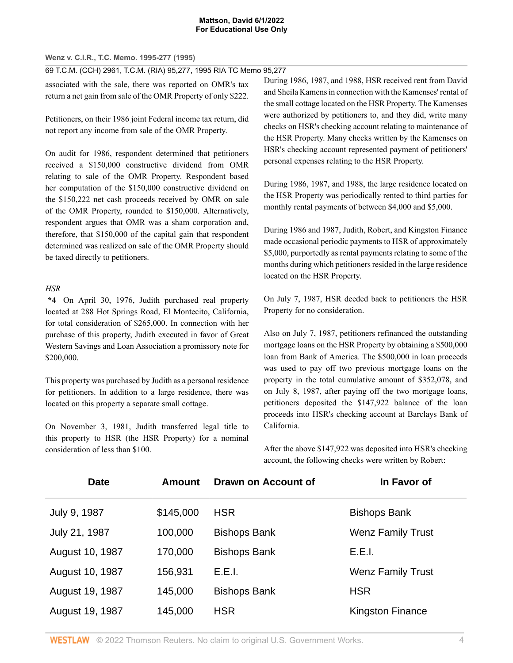# **Wenz v. C.I.R., T.C. Memo. 1995-277 (1995)**

69 T.C.M. (CCH) 2961, T.C.M. (RIA) 95,277, 1995 RIA TC Memo 95,277

associated with the sale, there was reported on OMR's tax return a net gain from sale of the OMR Property of only \$222.

Petitioners, on their 1986 joint Federal income tax return, did not report any income from sale of the OMR Property.

On audit for 1986, respondent determined that petitioners received a \$150,000 constructive dividend from OMR relating to sale of the OMR Property. Respondent based her computation of the \$150,000 constructive dividend on the \$150,222 net cash proceeds received by OMR on sale of the OMR Property, rounded to \$150,000. Alternatively, respondent argues that OMR was a sham corporation and, therefore, that \$150,000 of the capital gain that respondent determined was realized on sale of the OMR Property should be taxed directly to petitioners.

# *HSR*

**\*4** On April 30, 1976, Judith purchased real property located at 288 Hot Springs Road, El Montecito, California, for total consideration of \$265,000. In connection with her purchase of this property, Judith executed in favor of Great Western Savings and Loan Association a promissory note for \$200,000.

This property was purchased by Judith as a personal residence for petitioners. In addition to a large residence, there was located on this property a separate small cottage.

On November 3, 1981, Judith transferred legal title to this property to HSR (the HSR Property) for a nominal consideration of less than \$100.

During 1986, 1987, and 1988, HSR received rent from David and Sheila Kamens in connection with the Kamenses' rental of the small cottage located on the HSR Property. The Kamenses were authorized by petitioners to, and they did, write many checks on HSR's checking account relating to maintenance of the HSR Property. Many checks written by the Kamenses on HSR's checking account represented payment of petitioners' personal expenses relating to the HSR Property.

During 1986, 1987, and 1988, the large residence located on the HSR Property was periodically rented to third parties for monthly rental payments of between \$4,000 and \$5,000.

During 1986 and 1987, Judith, Robert, and Kingston Finance made occasional periodic payments to HSR of approximately \$5,000, purportedly as rental payments relating to some of the months during which petitioners resided in the large residence located on the HSR Property.

On July 7, 1987, HSR deeded back to petitioners the HSR Property for no consideration.

Also on July 7, 1987, petitioners refinanced the outstanding mortgage loans on the HSR Property by obtaining a \$500,000 loan from Bank of America. The \$500,000 in loan proceeds was used to pay off two previous mortgage loans on the property in the total cumulative amount of \$352,078, and on July 8, 1987, after paying off the two mortgage loans, petitioners deposited the \$147,922 balance of the loan proceeds into HSR's checking account at Barclays Bank of California.

After the above \$147,922 was deposited into HSR's checking account, the following checks were written by Robert:

| <b>Date</b>     | <b>Amount</b> | Drawn on Account of | In Favor of              |
|-----------------|---------------|---------------------|--------------------------|
| July 9, 1987    | \$145,000     | <b>HSR</b>          | <b>Bishops Bank</b>      |
| July 21, 1987   | 100,000       | <b>Bishops Bank</b> | <b>Wenz Family Trust</b> |
| August 10, 1987 | 170,000       | <b>Bishops Bank</b> | E.E.I.                   |
| August 10, 1987 | 156,931       | E.E.I.              | <b>Wenz Family Trust</b> |
| August 19, 1987 | 145,000       | <b>Bishops Bank</b> | <b>HSR</b>               |
| August 19, 1987 | 145,000       | <b>HSR</b>          | Kingston Finance         |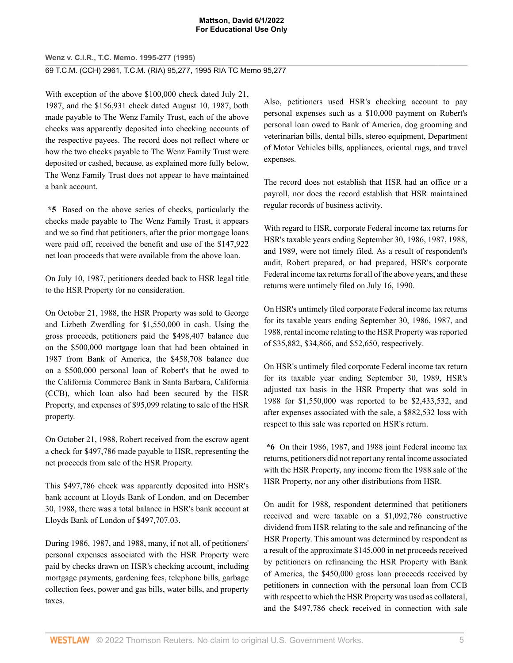# **Wenz v. C.I.R., T.C. Memo. 1995-277 (1995)** 69 T.C.M. (CCH) 2961, T.C.M. (RIA) 95,277, 1995 RIA TC Memo 95,277

With exception of the above \$100,000 check dated July 21, 1987, and the \$156,931 check dated August 10, 1987, both made payable to The Wenz Family Trust, each of the above checks was apparently deposited into checking accounts of the respective payees. The record does not reflect where or how the two checks payable to The Wenz Family Trust were deposited or cashed, because, as explained more fully below, The Wenz Family Trust does not appear to have maintained a bank account.

**\*5** Based on the above series of checks, particularly the checks made payable to The Wenz Family Trust, it appears and we so find that petitioners, after the prior mortgage loans were paid off, received the benefit and use of the \$147,922 net loan proceeds that were available from the above loan.

On July 10, 1987, petitioners deeded back to HSR legal title to the HSR Property for no consideration.

On October 21, 1988, the HSR Property was sold to George and Lizbeth Zwerdling for \$1,550,000 in cash. Using the gross proceeds, petitioners paid the \$498,407 balance due on the \$500,000 mortgage loan that had been obtained in 1987 from Bank of America, the \$458,708 balance due on a \$500,000 personal loan of Robert's that he owed to the California Commerce Bank in Santa Barbara, California (CCB), which loan also had been secured by the HSR Property, and expenses of \$95,099 relating to sale of the HSR property.

On October 21, 1988, Robert received from the escrow agent a check for \$497,786 made payable to HSR, representing the net proceeds from sale of the HSR Property.

This \$497,786 check was apparently deposited into HSR's bank account at Lloyds Bank of London, and on December 30, 1988, there was a total balance in HSR's bank account at Lloyds Bank of London of \$497,707.03.

During 1986, 1987, and 1988, many, if not all, of petitioners' personal expenses associated with the HSR Property were paid by checks drawn on HSR's checking account, including mortgage payments, gardening fees, telephone bills, garbage collection fees, power and gas bills, water bills, and property taxes.

Also, petitioners used HSR's checking account to pay personal expenses such as a \$10,000 payment on Robert's personal loan owed to Bank of America, dog grooming and veterinarian bills, dental bills, stereo equipment, Department of Motor Vehicles bills, appliances, oriental rugs, and travel expenses.

The record does not establish that HSR had an office or a payroll, nor does the record establish that HSR maintained regular records of business activity.

With regard to HSR, corporate Federal income tax returns for HSR's taxable years ending September 30, 1986, 1987, 1988, and 1989, were not timely filed. As a result of respondent's audit, Robert prepared, or had prepared, HSR's corporate Federal income tax returns for all of the above years, and these returns were untimely filed on July 16, 1990.

On HSR's untimely filed corporate Federal income tax returns for its taxable years ending September 30, 1986, 1987, and 1988, rental income relating to the HSR Property was reported of \$35,882, \$34,866, and \$52,650, respectively.

On HSR's untimely filed corporate Federal income tax return for its taxable year ending September 30, 1989, HSR's adjusted tax basis in the HSR Property that was sold in 1988 for \$1,550,000 was reported to be \$2,433,532, and after expenses associated with the sale, a \$882,532 loss with respect to this sale was reported on HSR's return.

**\*6** On their 1986, 1987, and 1988 joint Federal income tax returns, petitioners did not report any rental income associated with the HSR Property, any income from the 1988 sale of the HSR Property, nor any other distributions from HSR.

On audit for 1988, respondent determined that petitioners received and were taxable on a \$1,092,786 constructive dividend from HSR relating to the sale and refinancing of the HSR Property. This amount was determined by respondent as a result of the approximate \$145,000 in net proceeds received by petitioners on refinancing the HSR Property with Bank of America, the \$450,000 gross loan proceeds received by petitioners in connection with the personal loan from CCB with respect to which the HSR Property was used as collateral, and the \$497,786 check received in connection with sale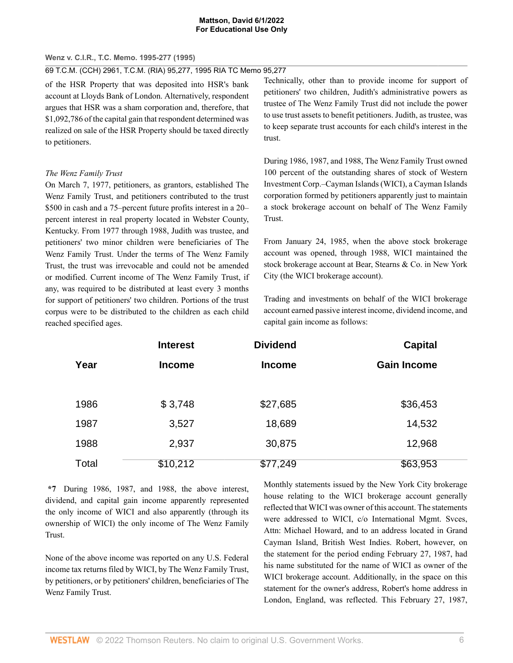## **Wenz v. C.I.R., T.C. Memo. 1995-277 (1995)**

69 T.C.M. (CCH) 2961, T.C.M. (RIA) 95,277, 1995 RIA TC Memo 95,277

of the HSR Property that was deposited into HSR's bank account at Lloyds Bank of London. Alternatively, respondent argues that HSR was a sham corporation and, therefore, that \$1,092,786 of the capital gain that respondent determined was realized on sale of the HSR Property should be taxed directly to petitioners.

# *The Wenz Family Trust*

On March 7, 1977, petitioners, as grantors, established The Wenz Family Trust, and petitioners contributed to the trust \$500 in cash and a 75–percent future profits interest in a 20– percent interest in real property located in Webster County, Kentucky. From 1977 through 1988, Judith was trustee, and petitioners' two minor children were beneficiaries of The Wenz Family Trust. Under the terms of The Wenz Family Trust, the trust was irrevocable and could not be amended or modified. Current income of The Wenz Family Trust, if any, was required to be distributed at least every 3 months for support of petitioners' two children. Portions of the trust corpus were to be distributed to the children as each child reached specified ages.

Technically, other than to provide income for support of petitioners' two children, Judith's administrative powers as trustee of The Wenz Family Trust did not include the power to use trust assets to benefit petitioners. Judith, as trustee, was to keep separate trust accounts for each child's interest in the trust.

During 1986, 1987, and 1988, The Wenz Family Trust owned 100 percent of the outstanding shares of stock of Western Investment Corp.–Cayman Islands (WICI), a Cayman Islands corporation formed by petitioners apparently just to maintain a stock brokerage account on behalf of The Wenz Family Trust.

From January 24, 1985, when the above stock brokerage account was opened, through 1988, WICI maintained the stock brokerage account at Bear, Stearns & Co. in New York City (the WICI brokerage account).

Trading and investments on behalf of the WICI brokerage account earned passive interest income, dividend income, and capital gain income as follows:

|       | <b>Interest</b> | <b>Dividend</b> | <b>Capital</b>     |  |
|-------|-----------------|-----------------|--------------------|--|
| Year  | <b>Income</b>   | <b>Income</b>   | <b>Gain Income</b> |  |
|       |                 |                 |                    |  |
| 1986  | \$3,748         | \$27,685        | \$36,453           |  |
| 1987  | 3,527           | 18,689          | 14,532             |  |
| 1988  | 2,937           | 30,875          | 12,968             |  |
| Total | \$10,212        | \$77,249        | \$63,953           |  |

**\*7** During 1986, 1987, and 1988, the above interest, dividend, and capital gain income apparently represented the only income of WICI and also apparently (through its ownership of WICI) the only income of The Wenz Family Trust.

None of the above income was reported on any U.S. Federal income tax returns filed by WICI, by The Wenz Family Trust, by petitioners, or by petitioners' children, beneficiaries of The Wenz Family Trust.

Monthly statements issued by the New York City brokerage house relating to the WICI brokerage account generally reflected that WICI was owner of this account. The statements were addressed to WICI, c/o International Mgmt. Svces, Attn: Michael Howard, and to an address located in Grand Cayman Island, British West Indies. Robert, however, on the statement for the period ending February 27, 1987, had his name substituted for the name of WICI as owner of the WICI brokerage account. Additionally, in the space on this statement for the owner's address, Robert's home address in London, England, was reflected. This February 27, 1987,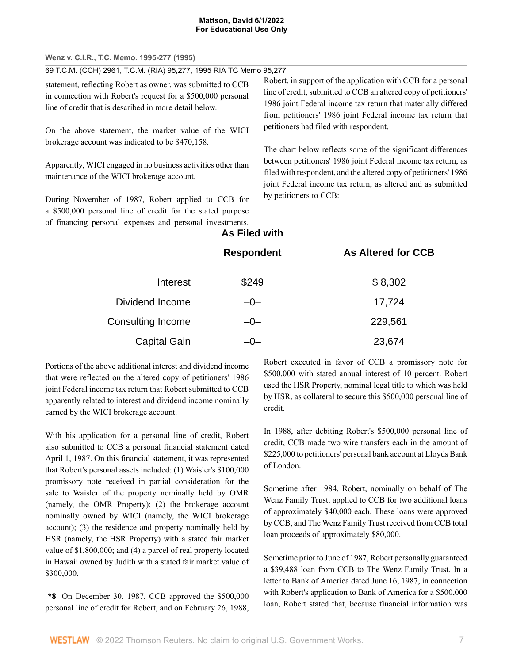**Wenz v. C.I.R., T.C. Memo. 1995-277 (1995)**

69 T.C.M. (CCH) 2961, T.C.M. (RIA) 95,277, 1995 RIA TC Memo 95,277

statement, reflecting Robert as owner, was submitted to CCB in connection with Robert's request for a \$500,000 personal line of credit that is described in more detail below.

On the above statement, the market value of the WICI brokerage account was indicated to be \$470,158.

Apparently, WICI engaged in no business activities other than maintenance of the WICI brokerage account.

During November of 1987, Robert applied to CCB for a \$500,000 personal line of credit for the stated purpose of financing personal expenses and personal investments. Robert, in support of the application with CCB for a personal line of credit, submitted to CCB an altered copy of petitioners' 1986 joint Federal income tax return that materially differed from petitioners' 1986 joint Federal income tax return that petitioners had filed with respondent.

The chart below reflects some of the significant differences between petitioners' 1986 joint Federal income tax return, as filed with respondent, and the altered copy of petitioners' 1986 joint Federal income tax return, as altered and as submitted by petitioners to CCB:

**As Altered for CCB** 

# **As Filed with**

| <b>Respondent</b> |  |
|-------------------|--|
|-------------------|--|

| Interest            | \$249 | \$8,302 |
|---------------------|-------|---------|
| Dividend Income     | $-0-$ | 17,724  |
| Consulting Income   | $-0-$ | 229,561 |
| <b>Capital Gain</b> | —( )— | 23,674  |

Portions of the above additional interest and dividend income that were reflected on the altered copy of petitioners' 1986 joint Federal income tax return that Robert submitted to CCB apparently related to interest and dividend income nominally earned by the WICI brokerage account.

With his application for a personal line of credit, Robert also submitted to CCB a personal financial statement dated April 1, 1987. On this financial statement, it was represented that Robert's personal assets included: (1) Waisler's \$100,000 promissory note received in partial consideration for the sale to Waisler of the property nominally held by OMR (namely, the OMR Property); (2) the brokerage account nominally owned by WICI (namely, the WICI brokerage account); (3) the residence and property nominally held by HSR (namely, the HSR Property) with a stated fair market value of \$1,800,000; and (4) a parcel of real property located in Hawaii owned by Judith with a stated fair market value of \$300,000.

**\*8** On December 30, 1987, CCB approved the \$500,000 personal line of credit for Robert, and on February 26, 1988, Robert executed in favor of CCB a promissory note for \$500,000 with stated annual interest of 10 percent. Robert used the HSR Property, nominal legal title to which was held by HSR, as collateral to secure this \$500,000 personal line of credit.

In 1988, after debiting Robert's \$500,000 personal line of credit, CCB made two wire transfers each in the amount of \$225,000 to petitioners' personal bank account at Lloyds Bank of London.

Sometime after 1984, Robert, nominally on behalf of The Wenz Family Trust, applied to CCB for two additional loans of approximately \$40,000 each. These loans were approved by CCB, and The Wenz Family Trust received from CCB total loan proceeds of approximately \$80,000.

Sometime prior to June of 1987, Robert personally guaranteed a \$39,488 loan from CCB to The Wenz Family Trust. In a letter to Bank of America dated June 16, 1987, in connection with Robert's application to Bank of America for a \$500,000 loan, Robert stated that, because financial information was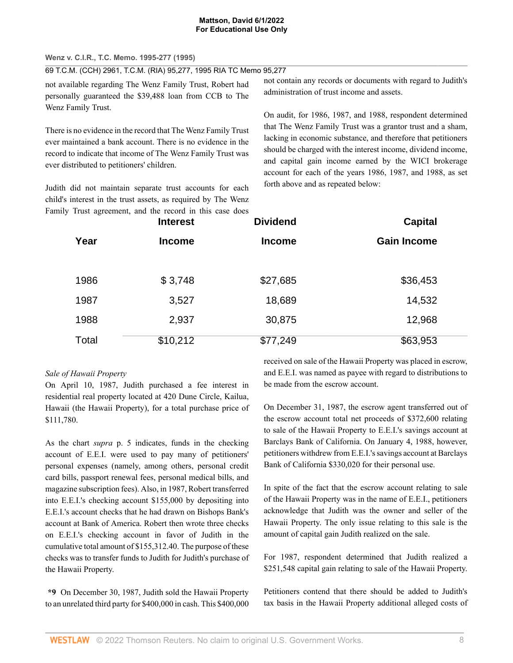**Wenz v. C.I.R., T.C. Memo. 1995-277 (1995)**

69 T.C.M. (CCH) 2961, T.C.M. (RIA) 95,277, 1995 RIA TC Memo 95,277

not available regarding The Wenz Family Trust, Robert had personally guaranteed the \$39,488 loan from CCB to The Wenz Family Trust.

There is no evidence in the record that The Wenz Family Trust ever maintained a bank account. There is no evidence in the record to indicate that income of The Wenz Family Trust was ever distributed to petitioners' children.

Judith did not maintain separate trust accounts for each child's interest in the trust assets, as required by The Wenz Family Trust agreement, and the record in this case does

not contain any records or documents with regard to Judith's administration of trust income and assets.

On audit, for 1986, 1987, and 1988, respondent determined that The Wenz Family Trust was a grantor trust and a sham, lacking in economic substance, and therefore that petitioners should be charged with the interest income, dividend income, and capital gain income earned by the WICI brokerage account for each of the years 1986, 1987, and 1988, as set forth above and as repeated below:

|       | y riust agreement, and the record in this case does<br><b>Interest</b> | <b>Dividend</b> | <b>Capital</b>     |  |
|-------|------------------------------------------------------------------------|-----------------|--------------------|--|
| Year  | <b>Income</b>                                                          | <b>Income</b>   | <b>Gain Income</b> |  |
|       |                                                                        |                 |                    |  |
| 1986  | \$3,748                                                                | \$27,685        | \$36,453           |  |
| 1987  | 3,527                                                                  | 18,689          | 14,532             |  |
| 1988  | 2,937                                                                  | 30,875          | 12,968             |  |
| Total | \$10,212                                                               | \$77,249        | \$63,953           |  |

# *Sale of Hawaii Property*

On April 10, 1987, Judith purchased a fee interest in residential real property located at 420 Dune Circle, Kailua, Hawaii (the Hawaii Property), for a total purchase price of \$111,780.

As the chart *supra* p. 5 indicates, funds in the checking account of E.E.I. were used to pay many of petitioners' personal expenses (namely, among others, personal credit card bills, passport renewal fees, personal medical bills, and magazine subscription fees). Also, in 1987, Robert transferred into E.E.I.'s checking account \$155,000 by depositing into E.E.I.'s account checks that he had drawn on Bishops Bank's account at Bank of America. Robert then wrote three checks on E.E.I.'s checking account in favor of Judith in the cumulative total amount of \$155,312.40. The purpose of these checks was to transfer funds to Judith for Judith's purchase of the Hawaii Property.

**\*9** On December 30, 1987, Judith sold the Hawaii Property to an unrelated third party for \$400,000 in cash. This \$400,000 received on sale of the Hawaii Property was placed in escrow, and E.E.I. was named as payee with regard to distributions to be made from the escrow account.

On December 31, 1987, the escrow agent transferred out of the escrow account total net proceeds of \$372,600 relating to sale of the Hawaii Property to E.E.I.'s savings account at Barclays Bank of California. On January 4, 1988, however, petitioners withdrew from E.E.I.'s savings account at Barclays Bank of California \$330,020 for their personal use.

In spite of the fact that the escrow account relating to sale of the Hawaii Property was in the name of E.E.I., petitioners acknowledge that Judith was the owner and seller of the Hawaii Property. The only issue relating to this sale is the amount of capital gain Judith realized on the sale.

For 1987, respondent determined that Judith realized a \$251,548 capital gain relating to sale of the Hawaii Property.

Petitioners contend that there should be added to Judith's tax basis in the Hawaii Property additional alleged costs of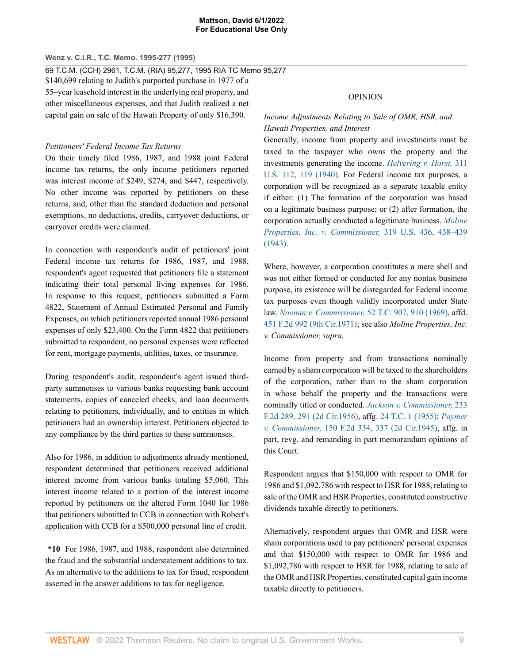# **Wenz v. C.I.R., T.C. Memo. 1995-277 (1995)**

69 T.C.M. (CCH) 2961, T.C.M. (RIA) 95,277, 1995 RIA TC Memo 95,277

\$140,699 relating to Judith's purported purchase in 1977 of a 55–year leasehold interest in the underlying real property, and other miscellaneous expenses, and that Judith realized a net capital gain on sale of the Hawaii Property of only \$16,390.

# *Petitioners' Federal Income Tax Returns*

On their timely filed 1986, 1987, and 1988 joint Federal income tax returns, the only income petitioners reported was interest income of \$249, \$274, and \$447, respectively. No other income was reported by petitioners on these returns, and, other than the standard deduction and personal exemptions, no deductions, credits, carryover deductions, or carryover credits were claimed.

In connection with respondent's audit of petitioners' joint Federal income tax returns for 1986, 1987, and 1988, respondent's agent requested that petitioners file a statement indicating their total personal living expenses for 1986. In response to this request, petitioners submitted a Form 4822, Statement of Annual Estimated Personal and Family Expenses, on which petitioners reported annual 1986 personal expenses of only \$23,400. On the Form 4822 that petitioners submitted to respondent, no personal expenses were reflected for rent, mortgage payments, utilities, taxes, or insurance.

During respondent's audit, respondent's agent issued thirdparty summonses to various banks requesting bank account statements, copies of canceled checks, and loan documents relating to petitioners, individually, and to entities in which petitioners had an ownership interest. Petitioners objected to any compliance by the third parties to these summonses.

Also for 1986, in addition to adjustments already mentioned, respondent determined that petitioners received additional interest income from various banks totaling \$5,060. This interest income related to a portion of the interest income reported by petitioners on the altered Form 1040 for 1986 that petitioners submitted to CCB in connection with Robert's application with CCB for a \$500,000 personal line of credit.

**\*10** For 1986, 1987, and 1988, respondent also determined the fraud and the substantial understatement additions to tax. As an alternative to the additions to tax for fraud, respondent asserted in the answer additions to tax for negligence.

# OPINION

# *Income Adjustments Relating to Sale of OMR, HSR, and Hawaii Properties, and Interest*

Generally, income from property and investments must be taxed to the taxpayer who owns the property and the investments generating the income. *[Helvering v. Horst,](http://www.westlaw.com/Link/Document/FullText?findType=Y&serNum=1940121992&pubNum=0000780&originatingDoc=I727f4a69b5f511d991d0cc6b54f12d4d&refType=RP&fi=co_pp_sp_780_119&originationContext=document&vr=3.0&rs=cblt1.0&transitionType=DocumentItem&contextData=(sc.UserEnteredCitation)#co_pp_sp_780_119)* 311 [U.S. 112, 119 \(1940\)](http://www.westlaw.com/Link/Document/FullText?findType=Y&serNum=1940121992&pubNum=0000780&originatingDoc=I727f4a69b5f511d991d0cc6b54f12d4d&refType=RP&fi=co_pp_sp_780_119&originationContext=document&vr=3.0&rs=cblt1.0&transitionType=DocumentItem&contextData=(sc.UserEnteredCitation)#co_pp_sp_780_119). For Federal income tax purposes, a corporation will be recognized as a separate taxable entity if either: (1) The formation of the corporation was based on a legitimate business purpose; or (2) after formation, the corporation actually conducted a legitimate business. *[Moline](http://www.westlaw.com/Link/Document/FullText?findType=Y&serNum=1943120653&pubNum=0000780&originatingDoc=I727f4a69b5f511d991d0cc6b54f12d4d&refType=RP&fi=co_pp_sp_780_438&originationContext=document&vr=3.0&rs=cblt1.0&transitionType=DocumentItem&contextData=(sc.UserEnteredCitation)#co_pp_sp_780_438) [Properties, Inc. v. Commissioner,](http://www.westlaw.com/Link/Document/FullText?findType=Y&serNum=1943120653&pubNum=0000780&originatingDoc=I727f4a69b5f511d991d0cc6b54f12d4d&refType=RP&fi=co_pp_sp_780_438&originationContext=document&vr=3.0&rs=cblt1.0&transitionType=DocumentItem&contextData=(sc.UserEnteredCitation)#co_pp_sp_780_438)* 319 U.S. 436, 438–439 [\(1943\).](http://www.westlaw.com/Link/Document/FullText?findType=Y&serNum=1943120653&pubNum=0000780&originatingDoc=I727f4a69b5f511d991d0cc6b54f12d4d&refType=RP&fi=co_pp_sp_780_438&originationContext=document&vr=3.0&rs=cblt1.0&transitionType=DocumentItem&contextData=(sc.UserEnteredCitation)#co_pp_sp_780_438)

Where, however, a corporation constitutes a mere shell and was not either formed or conducted for any nontax business purpose, its existence will be disregarded for Federal income tax purposes even though validly incorporated under State law. *[Noonan v. Commissioner,](http://www.westlaw.com/Link/Document/FullText?findType=Y&serNum=1969290311&pubNum=0000838&originatingDoc=I727f4a69b5f511d991d0cc6b54f12d4d&refType=RP&fi=co_pp_sp_838_910&originationContext=document&vr=3.0&rs=cblt1.0&transitionType=DocumentItem&contextData=(sc.UserEnteredCitation)#co_pp_sp_838_910)* 52 T.C. 907, 910 (1969), affd. [451 F.2d 992 \(9th Cir.1971\)](http://www.westlaw.com/Link/Document/FullText?findType=Y&serNum=1971113491&pubNum=0000350&originatingDoc=I727f4a69b5f511d991d0cc6b54f12d4d&refType=RP&originationContext=document&vr=3.0&rs=cblt1.0&transitionType=DocumentItem&contextData=(sc.UserEnteredCitation)); see also *Moline Properties, Inc. v. Commissioner, supra.*

Income from property and from transactions nominally earned by a sham corporation will be taxed to the shareholders of the corporation, rather than to the sham corporation in whose behalf the property and the transactions were nominally titled or conducted. *[Jackson v. Commissioner,](http://www.westlaw.com/Link/Document/FullText?findType=Y&serNum=1956109286&pubNum=0000350&originatingDoc=I727f4a69b5f511d991d0cc6b54f12d4d&refType=RP&fi=co_pp_sp_350_291&originationContext=document&vr=3.0&rs=cblt1.0&transitionType=DocumentItem&contextData=(sc.UserEnteredCitation)#co_pp_sp_350_291)* 233 [F.2d 289, 291 \(2d Cir.1956\),](http://www.westlaw.com/Link/Document/FullText?findType=Y&serNum=1956109286&pubNum=0000350&originatingDoc=I727f4a69b5f511d991d0cc6b54f12d4d&refType=RP&fi=co_pp_sp_350_291&originationContext=document&vr=3.0&rs=cblt1.0&transitionType=DocumentItem&contextData=(sc.UserEnteredCitation)#co_pp_sp_350_291) affg. [24 T.C. 1 \(1955\)](http://www.westlaw.com/Link/Document/FullText?findType=Y&serNum=1955000763&pubNum=0000838&originatingDoc=I727f4a69b5f511d991d0cc6b54f12d4d&refType=RP&originationContext=document&vr=3.0&rs=cblt1.0&transitionType=DocumentItem&contextData=(sc.UserEnteredCitation)); *[Paymer](http://www.westlaw.com/Link/Document/FullText?findType=Y&serNum=1945115766&pubNum=0000350&originatingDoc=I727f4a69b5f511d991d0cc6b54f12d4d&refType=RP&fi=co_pp_sp_350_337&originationContext=document&vr=3.0&rs=cblt1.0&transitionType=DocumentItem&contextData=(sc.UserEnteredCitation)#co_pp_sp_350_337) v. Commissioner,* [150 F.2d 334, 337 \(2d Cir.1945\)](http://www.westlaw.com/Link/Document/FullText?findType=Y&serNum=1945115766&pubNum=0000350&originatingDoc=I727f4a69b5f511d991d0cc6b54f12d4d&refType=RP&fi=co_pp_sp_350_337&originationContext=document&vr=3.0&rs=cblt1.0&transitionType=DocumentItem&contextData=(sc.UserEnteredCitation)#co_pp_sp_350_337), affg. in part, revg. and remanding in part memorandum opinions of this Court.

Respondent argues that \$150,000 with respect to OMR for 1986 and \$1,092,786 with respect to HSR for 1988, relating to sale of the OMR and HSR Properties, constituted constructive dividends taxable directly to petitioners.

Alternatively, respondent argues that OMR and HSR were sham corporations used to pay petitioners' personal expenses and that \$150,000 with respect to OMR for 1986 and \$1,092,786 with respect to HSR for 1988, relating to sale of the OMR and HSR Properties, constituted capital gain income taxable directly to petitioners.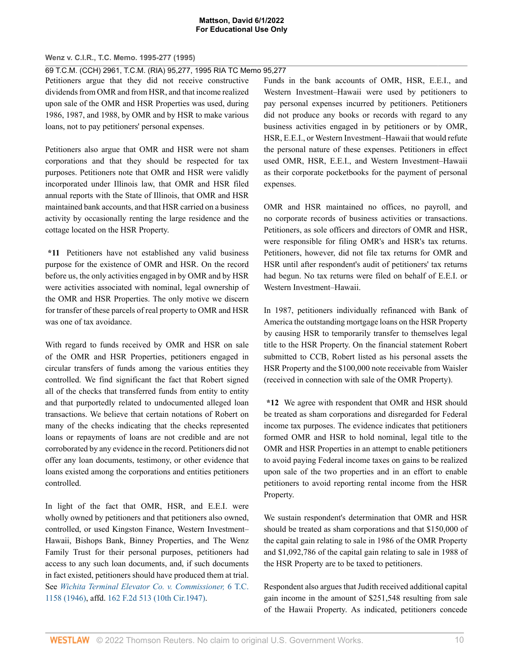### **Wenz v. C.I.R., T.C. Memo. 1995-277 (1995)**

69 T.C.M. (CCH) 2961, T.C.M. (RIA) 95,277, 1995 RIA TC Memo 95,277

Petitioners argue that they did not receive constructive dividends from OMR and from HSR, and that income realized upon sale of the OMR and HSR Properties was used, during 1986, 1987, and 1988, by OMR and by HSR to make various loans, not to pay petitioners' personal expenses.

Petitioners also argue that OMR and HSR were not sham corporations and that they should be respected for tax purposes. Petitioners note that OMR and HSR were validly incorporated under Illinois law, that OMR and HSR filed annual reports with the State of Illinois, that OMR and HSR maintained bank accounts, and that HSR carried on a business activity by occasionally renting the large residence and the cottage located on the HSR Property.

**\*11** Petitioners have not established any valid business purpose for the existence of OMR and HSR. On the record before us, the only activities engaged in by OMR and by HSR were activities associated with nominal, legal ownership of the OMR and HSR Properties. The only motive we discern for transfer of these parcels of real property to OMR and HSR was one of tax avoidance.

With regard to funds received by OMR and HSR on sale of the OMR and HSR Properties, petitioners engaged in circular transfers of funds among the various entities they controlled. We find significant the fact that Robert signed all of the checks that transferred funds from entity to entity and that purportedly related to undocumented alleged loan transactions. We believe that certain notations of Robert on many of the checks indicating that the checks represented loans or repayments of loans are not credible and are not corroborated by any evidence in the record. Petitioners did not offer any loan documents, testimony, or other evidence that loans existed among the corporations and entities petitioners controlled.

In light of the fact that OMR, HSR, and E.E.I. were wholly owned by petitioners and that petitioners also owned, controlled, or used Kingston Finance, Western Investment– Hawaii, Bishops Bank, Binney Properties, and The Wenz Family Trust for their personal purposes, petitioners had access to any such loan documents, and, if such documents in fact existed, petitioners should have produced them at trial. See *[Wichita Terminal Elevator Co. v. Commissioner,](http://www.westlaw.com/Link/Document/FullText?findType=Y&serNum=1946278377&pubNum=0000838&originatingDoc=I727f4a69b5f511d991d0cc6b54f12d4d&refType=RP&originationContext=document&vr=3.0&rs=cblt1.0&transitionType=DocumentItem&contextData=(sc.UserEnteredCitation))* 6 T.C. [1158 \(1946\),](http://www.westlaw.com/Link/Document/FullText?findType=Y&serNum=1946278377&pubNum=0000838&originatingDoc=I727f4a69b5f511d991d0cc6b54f12d4d&refType=RP&originationContext=document&vr=3.0&rs=cblt1.0&transitionType=DocumentItem&contextData=(sc.UserEnteredCitation)) affd. [162 F.2d 513 \(10th Cir.1947\)](http://www.westlaw.com/Link/Document/FullText?findType=Y&serNum=1947117679&pubNum=0000350&originatingDoc=I727f4a69b5f511d991d0cc6b54f12d4d&refType=RP&originationContext=document&vr=3.0&rs=cblt1.0&transitionType=DocumentItem&contextData=(sc.UserEnteredCitation)).

Funds in the bank accounts of OMR, HSR, E.E.I., and Western Investment–Hawaii were used by petitioners to pay personal expenses incurred by petitioners. Petitioners did not produce any books or records with regard to any business activities engaged in by petitioners or by OMR, HSR, E.E.I., or Western Investment–Hawaii that would refute the personal nature of these expenses. Petitioners in effect used OMR, HSR, E.E.I., and Western Investment–Hawaii as their corporate pocketbooks for the payment of personal expenses.

OMR and HSR maintained no offices, no payroll, and no corporate records of business activities or transactions. Petitioners, as sole officers and directors of OMR and HSR, were responsible for filing OMR's and HSR's tax returns. Petitioners, however, did not file tax returns for OMR and HSR until after respondent's audit of petitioners' tax returns had begun. No tax returns were filed on behalf of E.E.I. or Western Investment–Hawaii.

In 1987, petitioners individually refinanced with Bank of America the outstanding mortgage loans on the HSR Property by causing HSR to temporarily transfer to themselves legal title to the HSR Property. On the financial statement Robert submitted to CCB, Robert listed as his personal assets the HSR Property and the \$100,000 note receivable from Waisler (received in connection with sale of the OMR Property).

**\*12** We agree with respondent that OMR and HSR should be treated as sham corporations and disregarded for Federal income tax purposes. The evidence indicates that petitioners formed OMR and HSR to hold nominal, legal title to the OMR and HSR Properties in an attempt to enable petitioners to avoid paying Federal income taxes on gains to be realized upon sale of the two properties and in an effort to enable petitioners to avoid reporting rental income from the HSR Property.

We sustain respondent's determination that OMR and HSR should be treated as sham corporations and that \$150,000 of the capital gain relating to sale in 1986 of the OMR Property and \$1,092,786 of the capital gain relating to sale in 1988 of the HSR Property are to be taxed to petitioners.

Respondent also argues that Judith received additional capital gain income in the amount of \$251,548 resulting from sale of the Hawaii Property. As indicated, petitioners concede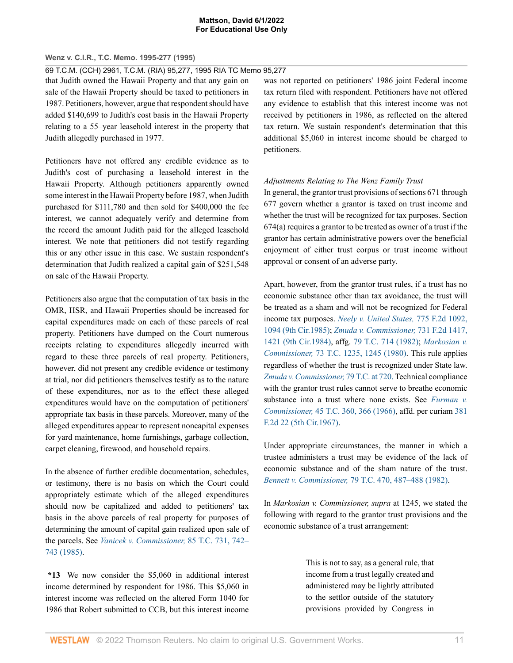# **Wenz v. C.I.R., T.C. Memo. 1995-277 (1995)**

69 T.C.M. (CCH) 2961, T.C.M. (RIA) 95,277, 1995 RIA TC Memo 95,277

that Judith owned the Hawaii Property and that any gain on sale of the Hawaii Property should be taxed to petitioners in 1987. Petitioners, however, argue that respondent should have added \$140,699 to Judith's cost basis in the Hawaii Property relating to a 55–year leasehold interest in the property that Judith allegedly purchased in 1977.

Petitioners have not offered any credible evidence as to Judith's cost of purchasing a leasehold interest in the Hawaii Property. Although petitioners apparently owned some interest in the Hawaii Property before 1987, when Judith purchased for \$111,780 and then sold for \$400,000 the fee interest, we cannot adequately verify and determine from the record the amount Judith paid for the alleged leasehold interest. We note that petitioners did not testify regarding this or any other issue in this case. We sustain respondent's determination that Judith realized a capital gain of \$251,548 on sale of the Hawaii Property.

Petitioners also argue that the computation of tax basis in the OMR, HSR, and Hawaii Properties should be increased for capital expenditures made on each of these parcels of real property. Petitioners have dumped on the Court numerous receipts relating to expenditures allegedly incurred with regard to these three parcels of real property. Petitioners, however, did not present any credible evidence or testimony at trial, nor did petitioners themselves testify as to the nature of these expenditures, nor as to the effect these alleged expenditures would have on the computation of petitioners' appropriate tax basis in these parcels. Moreover, many of the alleged expenditures appear to represent noncapital expenses for yard maintenance, home furnishings, garbage collection, carpet cleaning, firewood, and household repairs.

In the absence of further credible documentation, schedules, or testimony, there is no basis on which the Court could appropriately estimate which of the alleged expenditures should now be capitalized and added to petitioners' tax basis in the above parcels of real property for purposes of determining the amount of capital gain realized upon sale of the parcels. See *[Vanicek v. Commissioner,](http://www.westlaw.com/Link/Document/FullText?findType=Y&serNum=1986950088&pubNum=0000838&originatingDoc=I727f4a69b5f511d991d0cc6b54f12d4d&refType=RP&fi=co_pp_sp_838_742&originationContext=document&vr=3.0&rs=cblt1.0&transitionType=DocumentItem&contextData=(sc.UserEnteredCitation)#co_pp_sp_838_742)* 85 T.C. 731, 742– [743 \(1985\)](http://www.westlaw.com/Link/Document/FullText?findType=Y&serNum=1986950088&pubNum=0000838&originatingDoc=I727f4a69b5f511d991d0cc6b54f12d4d&refType=RP&fi=co_pp_sp_838_742&originationContext=document&vr=3.0&rs=cblt1.0&transitionType=DocumentItem&contextData=(sc.UserEnteredCitation)#co_pp_sp_838_742).

**\*13** We now consider the \$5,060 in additional interest income determined by respondent for 1986. This \$5,060 in interest income was reflected on the altered Form 1040 for 1986 that Robert submitted to CCB, but this interest income

was not reported on petitioners' 1986 joint Federal income tax return filed with respondent. Petitioners have not offered any evidence to establish that this interest income was not received by petitioners in 1986, as reflected on the altered tax return. We sustain respondent's determination that this additional \$5,060 in interest income should be charged to petitioners.

# *Adjustments Relating to The Wenz Family Trust*

In general, the grantor trust provisions of sections 671 through 677 govern whether a grantor is taxed on trust income and whether the trust will be recognized for tax purposes. Section 674(a) requires a grantor to be treated as owner of a trust if the grantor has certain administrative powers over the beneficial enjoyment of either trust corpus or trust income without approval or consent of an adverse party.

Apart, however, from the grantor trust rules, if a trust has no economic substance other than tax avoidance, the trust will be treated as a sham and will not be recognized for Federal income tax purposes. *[Neely v. United States,](http://www.westlaw.com/Link/Document/FullText?findType=Y&serNum=1985154503&pubNum=0000350&originatingDoc=I727f4a69b5f511d991d0cc6b54f12d4d&refType=RP&fi=co_pp_sp_350_1094&originationContext=document&vr=3.0&rs=cblt1.0&transitionType=DocumentItem&contextData=(sc.UserEnteredCitation)#co_pp_sp_350_1094)* 775 F.2d 1092, [1094 \(9th Cir.1985\);](http://www.westlaw.com/Link/Document/FullText?findType=Y&serNum=1985154503&pubNum=0000350&originatingDoc=I727f4a69b5f511d991d0cc6b54f12d4d&refType=RP&fi=co_pp_sp_350_1094&originationContext=document&vr=3.0&rs=cblt1.0&transitionType=DocumentItem&contextData=(sc.UserEnteredCitation)#co_pp_sp_350_1094) *[Zmuda v. Commissioner,](http://www.westlaw.com/Link/Document/FullText?findType=Y&serNum=1984121371&pubNum=0000350&originatingDoc=I727f4a69b5f511d991d0cc6b54f12d4d&refType=RP&fi=co_pp_sp_350_1421&originationContext=document&vr=3.0&rs=cblt1.0&transitionType=DocumentItem&contextData=(sc.UserEnteredCitation)#co_pp_sp_350_1421)* 731 F.2d 1417, [1421 \(9th Cir.1984\)](http://www.westlaw.com/Link/Document/FullText?findType=Y&serNum=1984121371&pubNum=0000350&originatingDoc=I727f4a69b5f511d991d0cc6b54f12d4d&refType=RP&fi=co_pp_sp_350_1421&originationContext=document&vr=3.0&rs=cblt1.0&transitionType=DocumentItem&contextData=(sc.UserEnteredCitation)#co_pp_sp_350_1421), affg. [79 T.C. 714 \(1982\);](http://www.westlaw.com/Link/Document/FullText?findType=Y&serNum=1983203379&pubNum=0000838&originatingDoc=I727f4a69b5f511d991d0cc6b54f12d4d&refType=RP&originationContext=document&vr=3.0&rs=cblt1.0&transitionType=DocumentItem&contextData=(sc.UserEnteredCitation)) *[Markosian v.](http://www.westlaw.com/Link/Document/FullText?findType=Y&serNum=1980290137&pubNum=0000838&originatingDoc=I727f4a69b5f511d991d0cc6b54f12d4d&refType=RP&fi=co_pp_sp_838_1245&originationContext=document&vr=3.0&rs=cblt1.0&transitionType=DocumentItem&contextData=(sc.UserEnteredCitation)#co_pp_sp_838_1245) Commissioner,* [73 T.C. 1235, 1245 \(1980\)](http://www.westlaw.com/Link/Document/FullText?findType=Y&serNum=1980290137&pubNum=0000838&originatingDoc=I727f4a69b5f511d991d0cc6b54f12d4d&refType=RP&fi=co_pp_sp_838_1245&originationContext=document&vr=3.0&rs=cblt1.0&transitionType=DocumentItem&contextData=(sc.UserEnteredCitation)#co_pp_sp_838_1245). This rule applies regardless of whether the trust is recognized under State law. *[Zmuda v. Commissioner,](http://www.westlaw.com/Link/Document/FullText?findType=Y&serNum=1983203379&pubNum=838&originatingDoc=I727f4a69b5f511d991d0cc6b54f12d4d&refType=RP&fi=co_pp_sp_838_720&originationContext=document&vr=3.0&rs=cblt1.0&transitionType=DocumentItem&contextData=(sc.UserEnteredCitation)#co_pp_sp_838_720)* 79 T.C. at 720. Technical compliance with the grantor trust rules cannot serve to breathe economic substance into a trust where none exists. See *[Furman v.](http://www.westlaw.com/Link/Document/FullText?findType=Y&serNum=1966242168&pubNum=0000838&originatingDoc=I727f4a69b5f511d991d0cc6b54f12d4d&refType=RP&fi=co_pp_sp_838_366&originationContext=document&vr=3.0&rs=cblt1.0&transitionType=DocumentItem&contextData=(sc.UserEnteredCitation)#co_pp_sp_838_366) Commissioner,* [45 T.C. 360, 366 \(1966\)](http://www.westlaw.com/Link/Document/FullText?findType=Y&serNum=1966242168&pubNum=0000838&originatingDoc=I727f4a69b5f511d991d0cc6b54f12d4d&refType=RP&fi=co_pp_sp_838_366&originationContext=document&vr=3.0&rs=cblt1.0&transitionType=DocumentItem&contextData=(sc.UserEnteredCitation)#co_pp_sp_838_366), affd. per curiam [381](http://www.westlaw.com/Link/Document/FullText?findType=Y&serNum=1967117542&pubNum=0000350&originatingDoc=I727f4a69b5f511d991d0cc6b54f12d4d&refType=RP&originationContext=document&vr=3.0&rs=cblt1.0&transitionType=DocumentItem&contextData=(sc.UserEnteredCitation)) [F.2d 22 \(5th Cir.1967\).](http://www.westlaw.com/Link/Document/FullText?findType=Y&serNum=1967117542&pubNum=0000350&originatingDoc=I727f4a69b5f511d991d0cc6b54f12d4d&refType=RP&originationContext=document&vr=3.0&rs=cblt1.0&transitionType=DocumentItem&contextData=(sc.UserEnteredCitation))

Under appropriate circumstances, the manner in which a trustee administers a trust may be evidence of the lack of economic substance and of the sham nature of the trust. *Bennett v. Commissioner,* [79 T.C. 470, 487–488 \(1982\).](http://www.westlaw.com/Link/Document/FullText?findType=Y&serNum=1982243304&pubNum=0000838&originatingDoc=I727f4a69b5f511d991d0cc6b54f12d4d&refType=RP&fi=co_pp_sp_838_487&originationContext=document&vr=3.0&rs=cblt1.0&transitionType=DocumentItem&contextData=(sc.UserEnteredCitation)#co_pp_sp_838_487)

In *Markosian v. Commissioner, supra* at 1245, we stated the following with regard to the grantor trust provisions and the economic substance of a trust arrangement:

> This is not to say, as a general rule, that income from a trust legally created and administered may be lightly attributed to the settlor outside of the statutory provisions provided by Congress in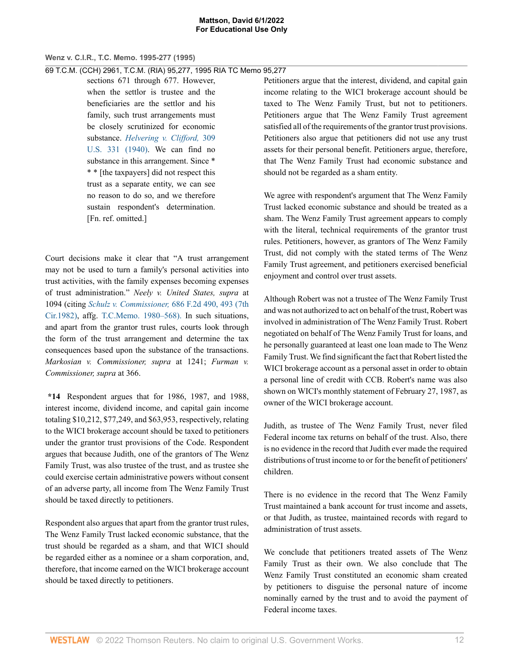# **Wenz v. C.I.R., T.C. Memo. 1995-277 (1995)**

69 T.C.M. (CCH) 2961, T.C.M. (RIA) 95,277, 1995 RIA TC Memo 95,277

sections 671 through 677. However, when the settlor is trustee and the beneficiaries are the settlor and his family, such trust arrangements must be closely scrutinized for economic substance. *[Helvering v. Clifford,](http://www.westlaw.com/Link/Document/FullText?findType=Y&serNum=1940125146&pubNum=0000780&originatingDoc=I727f4a69b5f511d991d0cc6b54f12d4d&refType=RP&originationContext=document&vr=3.0&rs=cblt1.0&transitionType=DocumentItem&contextData=(sc.UserEnteredCitation))* 309 [U.S. 331 \(1940\)](http://www.westlaw.com/Link/Document/FullText?findType=Y&serNum=1940125146&pubNum=0000780&originatingDoc=I727f4a69b5f511d991d0cc6b54f12d4d&refType=RP&originationContext=document&vr=3.0&rs=cblt1.0&transitionType=DocumentItem&contextData=(sc.UserEnteredCitation)). We can find no substance in this arrangement. Since  $*$ \* \* [the taxpayers] did not respect this trust as a separate entity, we can see no reason to do so, and we therefore sustain respondent's determination. [Fn. ref. omitted.]

Court decisions make it clear that "A trust arrangement may not be used to turn a family's personal activities into trust activities, with the family expenses becoming expenses of trust administration." *Neely v. United States, supra* at 1094 (citing *[Schulz v. Commissioner,](http://www.westlaw.com/Link/Document/FullText?findType=Y&serNum=1982134442&pubNum=0000350&originatingDoc=I727f4a69b5f511d991d0cc6b54f12d4d&refType=RP&fi=co_pp_sp_350_493&originationContext=document&vr=3.0&rs=cblt1.0&transitionType=DocumentItem&contextData=(sc.UserEnteredCitation)#co_pp_sp_350_493)* 686 F.2d 490, 493 (7th [Cir.1982\)](http://www.westlaw.com/Link/Document/FullText?findType=Y&serNum=1982134442&pubNum=0000350&originatingDoc=I727f4a69b5f511d991d0cc6b54f12d4d&refType=RP&fi=co_pp_sp_350_493&originationContext=document&vr=3.0&rs=cblt1.0&transitionType=DocumentItem&contextData=(sc.UserEnteredCitation)#co_pp_sp_350_493), affg. [T.C.Memo. 1980–568\).](http://www.westlaw.com/Link/Document/FullText?findType=Y&serNum=1980003238&pubNum=1051&originatingDoc=I727f4a69b5f511d991d0cc6b54f12d4d&refType=RP&originationContext=document&vr=3.0&rs=cblt1.0&transitionType=DocumentItem&contextData=(sc.UserEnteredCitation)) In such situations, and apart from the grantor trust rules, courts look through the form of the trust arrangement and determine the tax consequences based upon the substance of the transactions. *Markosian v. Commissioner, supra* at 1241; *Furman v. Commissioner, supra* at 366.

**\*14** Respondent argues that for 1986, 1987, and 1988, interest income, dividend income, and capital gain income totaling \$10,212, \$77,249, and \$63,953, respectively, relating to the WICI brokerage account should be taxed to petitioners under the grantor trust provisions of the Code. Respondent argues that because Judith, one of the grantors of The Wenz Family Trust, was also trustee of the trust, and as trustee she could exercise certain administrative powers without consent of an adverse party, all income from The Wenz Family Trust should be taxed directly to petitioners.

Respondent also argues that apart from the grantor trust rules, The Wenz Family Trust lacked economic substance, that the trust should be regarded as a sham, and that WICI should be regarded either as a nominee or a sham corporation, and, therefore, that income earned on the WICI brokerage account should be taxed directly to petitioners.

Petitioners argue that the interest, dividend, and capital gain income relating to the WICI brokerage account should be taxed to The Wenz Family Trust, but not to petitioners. Petitioners argue that The Wenz Family Trust agreement satisfied all of the requirements of the grantor trust provisions. Petitioners also argue that petitioners did not use any trust assets for their personal benefit. Petitioners argue, therefore, that The Wenz Family Trust had economic substance and should not be regarded as a sham entity.

We agree with respondent's argument that The Wenz Family Trust lacked economic substance and should be treated as a sham. The Wenz Family Trust agreement appears to comply with the literal, technical requirements of the grantor trust rules. Petitioners, however, as grantors of The Wenz Family Trust, did not comply with the stated terms of The Wenz Family Trust agreement, and petitioners exercised beneficial enjoyment and control over trust assets.

Although Robert was not a trustee of The Wenz Family Trust and was not authorized to act on behalf of the trust, Robert was involved in administration of The Wenz Family Trust. Robert negotiated on behalf of The Wenz Family Trust for loans, and he personally guaranteed at least one loan made to The Wenz Family Trust. We find significant the fact that Robert listed the WICI brokerage account as a personal asset in order to obtain a personal line of credit with CCB. Robert's name was also shown on WICI's monthly statement of February 27, 1987, as owner of the WICI brokerage account.

Judith, as trustee of The Wenz Family Trust, never filed Federal income tax returns on behalf of the trust. Also, there is no evidence in the record that Judith ever made the required distributions of trust income to or for the benefit of petitioners' children.

There is no evidence in the record that The Wenz Family Trust maintained a bank account for trust income and assets, or that Judith, as trustee, maintained records with regard to administration of trust assets.

We conclude that petitioners treated assets of The Wenz Family Trust as their own. We also conclude that The Wenz Family Trust constituted an economic sham created by petitioners to disguise the personal nature of income nominally earned by the trust and to avoid the payment of Federal income taxes.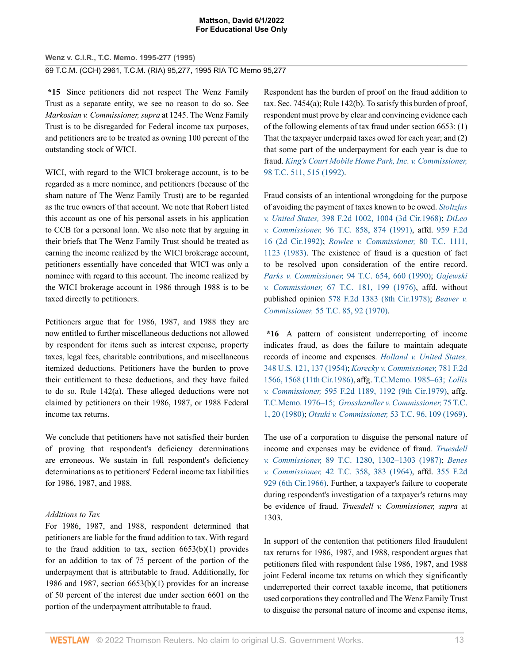**Wenz v. C.I.R., T.C. Memo. 1995-277 (1995)** 69 T.C.M. (CCH) 2961, T.C.M. (RIA) 95,277, 1995 RIA TC Memo 95,277

**\*15** Since petitioners did not respect The Wenz Family Trust as a separate entity, we see no reason to do so. See *Markosian v. Commissioner, supra* at 1245. The Wenz Family Trust is to be disregarded for Federal income tax purposes, and petitioners are to be treated as owning 100 percent of the outstanding stock of WICI.

WICI, with regard to the WICI brokerage account, is to be regarded as a mere nominee, and petitioners (because of the sham nature of The Wenz Family Trust) are to be regarded as the true owners of that account. We note that Robert listed this account as one of his personal assets in his application to CCB for a personal loan. We also note that by arguing in their briefs that The Wenz Family Trust should be treated as earning the income realized by the WICI brokerage account, petitioners essentially have conceded that WICI was only a nominee with regard to this account. The income realized by the WICI brokerage account in 1986 through 1988 is to be taxed directly to petitioners.

Petitioners argue that for 1986, 1987, and 1988 they are now entitled to further miscellaneous deductions not allowed by respondent for items such as interest expense, property taxes, legal fees, charitable contributions, and miscellaneous itemized deductions. Petitioners have the burden to prove their entitlement to these deductions, and they have failed to do so. Rule 142(a). These alleged deductions were not claimed by petitioners on their 1986, 1987, or 1988 Federal income tax returns.

We conclude that petitioners have not satisfied their burden of proving that respondent's deficiency determinations are erroneous. We sustain in full respondent's deficiency determinations as to petitioners' Federal income tax liabilities for 1986, 1987, and 1988.

# *Additions to Tax*

For 1986, 1987, and 1988, respondent determined that petitioners are liable for the fraud addition to tax. With regard to the fraud addition to tax, section  $6653(b)(1)$  provides for an addition to tax of 75 percent of the portion of the underpayment that is attributable to fraud. Additionally, for 1986 and 1987, section 6653(b)(1) provides for an increase of 50 percent of the interest due under section 6601 on the portion of the underpayment attributable to fraud.

Respondent has the burden of proof on the fraud addition to tax. Sec. 7454(a); Rule 142(b). To satisfy this burden of proof, respondent must prove by clear and convincing evidence each of the following elements of tax fraud under section 6653: (1) That the taxpayer underpaid taxes owed for each year; and (2) that some part of the underpayment for each year is due to fraud. *[King's Court Mobile Home Park, Inc. v. Commissioner,](http://www.westlaw.com/Link/Document/FullText?findType=Y&serNum=1992079795&pubNum=0000838&originatingDoc=I727f4a69b5f511d991d0cc6b54f12d4d&refType=RP&fi=co_pp_sp_838_515&originationContext=document&vr=3.0&rs=cblt1.0&transitionType=DocumentItem&contextData=(sc.UserEnteredCitation)#co_pp_sp_838_515)* [98 T.C. 511, 515 \(1992\).](http://www.westlaw.com/Link/Document/FullText?findType=Y&serNum=1992079795&pubNum=0000838&originatingDoc=I727f4a69b5f511d991d0cc6b54f12d4d&refType=RP&fi=co_pp_sp_838_515&originationContext=document&vr=3.0&rs=cblt1.0&transitionType=DocumentItem&contextData=(sc.UserEnteredCitation)#co_pp_sp_838_515)

Fraud consists of an intentional wrongdoing for the purpose of avoiding the payment of taxes known to be owed. *[Stoltzfus](http://www.westlaw.com/Link/Document/FullText?findType=Y&serNum=1968118661&pubNum=0000350&originatingDoc=I727f4a69b5f511d991d0cc6b54f12d4d&refType=RP&fi=co_pp_sp_350_1004&originationContext=document&vr=3.0&rs=cblt1.0&transitionType=DocumentItem&contextData=(sc.UserEnteredCitation)#co_pp_sp_350_1004) v. United States,* [398 F.2d 1002, 1004 \(3d Cir.1968\);](http://www.westlaw.com/Link/Document/FullText?findType=Y&serNum=1968118661&pubNum=0000350&originatingDoc=I727f4a69b5f511d991d0cc6b54f12d4d&refType=RP&fi=co_pp_sp_350_1004&originationContext=document&vr=3.0&rs=cblt1.0&transitionType=DocumentItem&contextData=(sc.UserEnteredCitation)#co_pp_sp_350_1004) *[DiLeo](http://www.westlaw.com/Link/Document/FullText?findType=Y&serNum=1991114524&pubNum=0000838&originatingDoc=I727f4a69b5f511d991d0cc6b54f12d4d&refType=RP&fi=co_pp_sp_838_874&originationContext=document&vr=3.0&rs=cblt1.0&transitionType=DocumentItem&contextData=(sc.UserEnteredCitation)#co_pp_sp_838_874) v. Commissioner,* [96 T.C. 858, 874 \(1991\)](http://www.westlaw.com/Link/Document/FullText?findType=Y&serNum=1991114524&pubNum=0000838&originatingDoc=I727f4a69b5f511d991d0cc6b54f12d4d&refType=RP&fi=co_pp_sp_838_874&originationContext=document&vr=3.0&rs=cblt1.0&transitionType=DocumentItem&contextData=(sc.UserEnteredCitation)#co_pp_sp_838_874), affd. [959 F.2d](http://www.westlaw.com/Link/Document/FullText?findType=Y&serNum=1992060472&pubNum=0000350&originatingDoc=I727f4a69b5f511d991d0cc6b54f12d4d&refType=RP&originationContext=document&vr=3.0&rs=cblt1.0&transitionType=DocumentItem&contextData=(sc.UserEnteredCitation)) [16 \(2d Cir.1992\)](http://www.westlaw.com/Link/Document/FullText?findType=Y&serNum=1992060472&pubNum=0000350&originatingDoc=I727f4a69b5f511d991d0cc6b54f12d4d&refType=RP&originationContext=document&vr=3.0&rs=cblt1.0&transitionType=DocumentItem&contextData=(sc.UserEnteredCitation)); *[Rowlee v. Commissioner,](http://www.westlaw.com/Link/Document/FullText?findType=Y&serNum=1983229937&pubNum=0000838&originatingDoc=I727f4a69b5f511d991d0cc6b54f12d4d&refType=RP&fi=co_pp_sp_838_1123&originationContext=document&vr=3.0&rs=cblt1.0&transitionType=DocumentItem&contextData=(sc.UserEnteredCitation)#co_pp_sp_838_1123)* 80 T.C. 1111, [1123 \(1983\).](http://www.westlaw.com/Link/Document/FullText?findType=Y&serNum=1983229937&pubNum=0000838&originatingDoc=I727f4a69b5f511d991d0cc6b54f12d4d&refType=RP&fi=co_pp_sp_838_1123&originationContext=document&vr=3.0&rs=cblt1.0&transitionType=DocumentItem&contextData=(sc.UserEnteredCitation)#co_pp_sp_838_1123) The existence of fraud is a question of fact to be resolved upon consideration of the entire record. *Parks v. Commissioner,* [94 T.C. 654, 660 \(1990\);](http://www.westlaw.com/Link/Document/FullText?findType=Y&serNum=1990068142&pubNum=0000838&originatingDoc=I727f4a69b5f511d991d0cc6b54f12d4d&refType=RP&fi=co_pp_sp_838_660&originationContext=document&vr=3.0&rs=cblt1.0&transitionType=DocumentItem&contextData=(sc.UserEnteredCitation)#co_pp_sp_838_660) *[Gajewski](http://www.westlaw.com/Link/Document/FullText?findType=Y&serNum=1977290001&pubNum=0000838&originatingDoc=I727f4a69b5f511d991d0cc6b54f12d4d&refType=RP&fi=co_pp_sp_838_199&originationContext=document&vr=3.0&rs=cblt1.0&transitionType=DocumentItem&contextData=(sc.UserEnteredCitation)#co_pp_sp_838_199) v. Commissioner,* [67 T.C. 181, 199 \(1976\),](http://www.westlaw.com/Link/Document/FullText?findType=Y&serNum=1977290001&pubNum=0000838&originatingDoc=I727f4a69b5f511d991d0cc6b54f12d4d&refType=RP&fi=co_pp_sp_838_199&originationContext=document&vr=3.0&rs=cblt1.0&transitionType=DocumentItem&contextData=(sc.UserEnteredCitation)#co_pp_sp_838_199) affd. without published opinion [578 F.2d 1383 \(8th Cir.1978\)](http://www.westlaw.com/Link/Document/FullText?findType=Y&serNum=1978212983&pubNum=0000350&originatingDoc=I727f4a69b5f511d991d0cc6b54f12d4d&refType=RP&originationContext=document&vr=3.0&rs=cblt1.0&transitionType=DocumentItem&contextData=(sc.UserEnteredCitation)); *[Beaver v.](http://www.westlaw.com/Link/Document/FullText?findType=Y&serNum=1971290019&pubNum=0000838&originatingDoc=I727f4a69b5f511d991d0cc6b54f12d4d&refType=RP&fi=co_pp_sp_838_92&originationContext=document&vr=3.0&rs=cblt1.0&transitionType=DocumentItem&contextData=(sc.UserEnteredCitation)#co_pp_sp_838_92) Commissioner,* [55 T.C. 85, 92 \(1970\).](http://www.westlaw.com/Link/Document/FullText?findType=Y&serNum=1971290019&pubNum=0000838&originatingDoc=I727f4a69b5f511d991d0cc6b54f12d4d&refType=RP&fi=co_pp_sp_838_92&originationContext=document&vr=3.0&rs=cblt1.0&transitionType=DocumentItem&contextData=(sc.UserEnteredCitation)#co_pp_sp_838_92)

**\*16** A pattern of consistent underreporting of income indicates fraud, as does the failure to maintain adequate records of income and expenses. *[Holland v. United States,](http://www.westlaw.com/Link/Document/FullText?findType=Y&serNum=1954118568&pubNum=0000780&originatingDoc=I727f4a69b5f511d991d0cc6b54f12d4d&refType=RP&fi=co_pp_sp_780_137&originationContext=document&vr=3.0&rs=cblt1.0&transitionType=DocumentItem&contextData=(sc.UserEnteredCitation)#co_pp_sp_780_137)* [348 U.S. 121, 137 \(1954\);](http://www.westlaw.com/Link/Document/FullText?findType=Y&serNum=1954118568&pubNum=0000780&originatingDoc=I727f4a69b5f511d991d0cc6b54f12d4d&refType=RP&fi=co_pp_sp_780_137&originationContext=document&vr=3.0&rs=cblt1.0&transitionType=DocumentItem&contextData=(sc.UserEnteredCitation)#co_pp_sp_780_137) *[Korecky v. Commissioner,](http://www.westlaw.com/Link/Document/FullText?findType=Y&serNum=1986105122&pubNum=0000350&originatingDoc=I727f4a69b5f511d991d0cc6b54f12d4d&refType=RP&fi=co_pp_sp_350_1568&originationContext=document&vr=3.0&rs=cblt1.0&transitionType=DocumentItem&contextData=(sc.UserEnteredCitation)#co_pp_sp_350_1568)* 781 F.2d [1566, 1568 \(11th Cir.1986\),](http://www.westlaw.com/Link/Document/FullText?findType=Y&serNum=1986105122&pubNum=0000350&originatingDoc=I727f4a69b5f511d991d0cc6b54f12d4d&refType=RP&fi=co_pp_sp_350_1568&originationContext=document&vr=3.0&rs=cblt1.0&transitionType=DocumentItem&contextData=(sc.UserEnteredCitation)#co_pp_sp_350_1568) affg. [T.C.Memo. 1985–63;](http://www.westlaw.com/Link/Document/FullText?findType=Y&serNum=1985006731&pubNum=1051&originatingDoc=I727f4a69b5f511d991d0cc6b54f12d4d&refType=RP&originationContext=document&vr=3.0&rs=cblt1.0&transitionType=DocumentItem&contextData=(sc.UserEnteredCitation)) *[Lollis](http://www.westlaw.com/Link/Document/FullText?findType=Y&serNum=1979112429&pubNum=0000350&originatingDoc=I727f4a69b5f511d991d0cc6b54f12d4d&refType=RP&fi=co_pp_sp_350_1192&originationContext=document&vr=3.0&rs=cblt1.0&transitionType=DocumentItem&contextData=(sc.UserEnteredCitation)#co_pp_sp_350_1192) v. Commissioner,* [595 F.2d 1189, 1192 \(9th Cir.1979\),](http://www.westlaw.com/Link/Document/FullText?findType=Y&serNum=1979112429&pubNum=0000350&originatingDoc=I727f4a69b5f511d991d0cc6b54f12d4d&refType=RP&fi=co_pp_sp_350_1192&originationContext=document&vr=3.0&rs=cblt1.0&transitionType=DocumentItem&contextData=(sc.UserEnteredCitation)#co_pp_sp_350_1192) affg. [T.C.Memo. 1976–15;](http://www.westlaw.com/Link/Document/FullText?findType=Y&serNum=1976001078&pubNum=1051&originatingDoc=I727f4a69b5f511d991d0cc6b54f12d4d&refType=RP&originationContext=document&vr=3.0&rs=cblt1.0&transitionType=DocumentItem&contextData=(sc.UserEnteredCitation)) *[Grosshandler v. Commissioner,](http://www.westlaw.com/Link/Document/FullText?findType=Y&serNum=1980298388&pubNum=0000838&originatingDoc=I727f4a69b5f511d991d0cc6b54f12d4d&refType=RP&fi=co_pp_sp_838_20&originationContext=document&vr=3.0&rs=cblt1.0&transitionType=DocumentItem&contextData=(sc.UserEnteredCitation)#co_pp_sp_838_20)* 75 T.C. [1, 20 \(1980\)](http://www.westlaw.com/Link/Document/FullText?findType=Y&serNum=1980298388&pubNum=0000838&originatingDoc=I727f4a69b5f511d991d0cc6b54f12d4d&refType=RP&fi=co_pp_sp_838_20&originationContext=document&vr=3.0&rs=cblt1.0&transitionType=DocumentItem&contextData=(sc.UserEnteredCitation)#co_pp_sp_838_20); *[Otsuki v. Commissioner,](http://www.westlaw.com/Link/Document/FullText?findType=Y&serNum=1970290148&pubNum=0000838&originatingDoc=I727f4a69b5f511d991d0cc6b54f12d4d&refType=RP&fi=co_pp_sp_838_109&originationContext=document&vr=3.0&rs=cblt1.0&transitionType=DocumentItem&contextData=(sc.UserEnteredCitation)#co_pp_sp_838_109)* 53 T.C. 96, 109 (1969).

The use of a corporation to disguise the personal nature of income and expenses may be evidence of fraud. *[Truesdell](http://www.westlaw.com/Link/Document/FullText?findType=Y&serNum=1987160898&pubNum=0000838&originatingDoc=I727f4a69b5f511d991d0cc6b54f12d4d&refType=RP&fi=co_pp_sp_838_1302&originationContext=document&vr=3.0&rs=cblt1.0&transitionType=DocumentItem&contextData=(sc.UserEnteredCitation)#co_pp_sp_838_1302) v. Commissioner,* [89 T.C. 1280, 1302–1303 \(1987\)](http://www.westlaw.com/Link/Document/FullText?findType=Y&serNum=1987160898&pubNum=0000838&originatingDoc=I727f4a69b5f511d991d0cc6b54f12d4d&refType=RP&fi=co_pp_sp_838_1302&originationContext=document&vr=3.0&rs=cblt1.0&transitionType=DocumentItem&contextData=(sc.UserEnteredCitation)#co_pp_sp_838_1302); *[Benes](http://www.westlaw.com/Link/Document/FullText?findType=Y&serNum=1964001248&pubNum=0000838&originatingDoc=I727f4a69b5f511d991d0cc6b54f12d4d&refType=RP&fi=co_pp_sp_838_383&originationContext=document&vr=3.0&rs=cblt1.0&transitionType=DocumentItem&contextData=(sc.UserEnteredCitation)#co_pp_sp_838_383) v. Commissioner,* [42 T.C. 358, 383 \(1964\)](http://www.westlaw.com/Link/Document/FullText?findType=Y&serNum=1964001248&pubNum=0000838&originatingDoc=I727f4a69b5f511d991d0cc6b54f12d4d&refType=RP&fi=co_pp_sp_838_383&originationContext=document&vr=3.0&rs=cblt1.0&transitionType=DocumentItem&contextData=(sc.UserEnteredCitation)#co_pp_sp_838_383), affd. [355 F.2d](http://www.westlaw.com/Link/Document/FullText?findType=Y&serNum=1966207182&pubNum=0000350&originatingDoc=I727f4a69b5f511d991d0cc6b54f12d4d&refType=RP&originationContext=document&vr=3.0&rs=cblt1.0&transitionType=DocumentItem&contextData=(sc.UserEnteredCitation)) [929 \(6th Cir.1966\).](http://www.westlaw.com/Link/Document/FullText?findType=Y&serNum=1966207182&pubNum=0000350&originatingDoc=I727f4a69b5f511d991d0cc6b54f12d4d&refType=RP&originationContext=document&vr=3.0&rs=cblt1.0&transitionType=DocumentItem&contextData=(sc.UserEnteredCitation)) Further, a taxpayer's failure to cooperate during respondent's investigation of a taxpayer's returns may be evidence of fraud. *Truesdell v. Commissioner, supra* at 1303.

In support of the contention that petitioners filed fraudulent tax returns for 1986, 1987, and 1988, respondent argues that petitioners filed with respondent false 1986, 1987, and 1988 joint Federal income tax returns on which they significantly underreported their correct taxable income, that petitioners used corporations they controlled and The Wenz Family Trust to disguise the personal nature of income and expense items,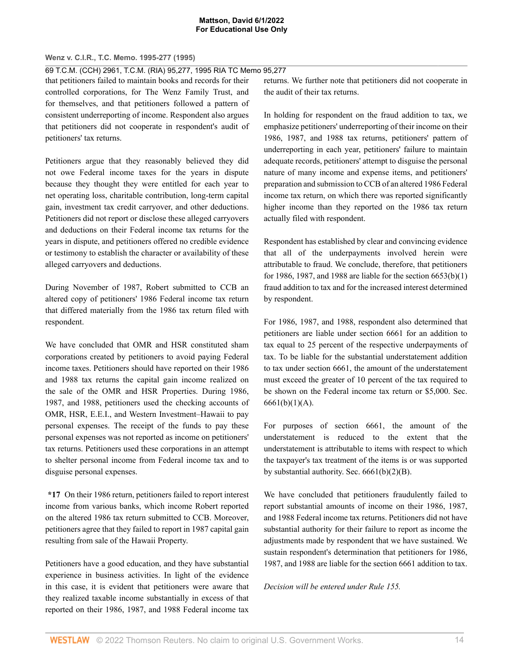### **Wenz v. C.I.R., T.C. Memo. 1995-277 (1995)**

69 T.C.M. (CCH) 2961, T.C.M. (RIA) 95,277, 1995 RIA TC Memo 95,277

that petitioners failed to maintain books and records for their controlled corporations, for The Wenz Family Trust, and for themselves, and that petitioners followed a pattern of consistent underreporting of income. Respondent also argues that petitioners did not cooperate in respondent's audit of petitioners' tax returns.

Petitioners argue that they reasonably believed they did not owe Federal income taxes for the years in dispute because they thought they were entitled for each year to net operating loss, charitable contribution, long-term capital gain, investment tax credit carryover, and other deductions. Petitioners did not report or disclose these alleged carryovers and deductions on their Federal income tax returns for the years in dispute, and petitioners offered no credible evidence or testimony to establish the character or availability of these alleged carryovers and deductions.

During November of 1987, Robert submitted to CCB an altered copy of petitioners' 1986 Federal income tax return that differed materially from the 1986 tax return filed with respondent.

We have concluded that OMR and HSR constituted sham corporations created by petitioners to avoid paying Federal income taxes. Petitioners should have reported on their 1986 and 1988 tax returns the capital gain income realized on the sale of the OMR and HSR Properties. During 1986, 1987, and 1988, petitioners used the checking accounts of OMR, HSR, E.E.I., and Western Investment–Hawaii to pay personal expenses. The receipt of the funds to pay these personal expenses was not reported as income on petitioners' tax returns. Petitioners used these corporations in an attempt to shelter personal income from Federal income tax and to disguise personal expenses.

**\*17** On their 1986 return, petitioners failed to report interest income from various banks, which income Robert reported on the altered 1986 tax return submitted to CCB. Moreover, petitioners agree that they failed to report in 1987 capital gain resulting from sale of the Hawaii Property.

Petitioners have a good education, and they have substantial experience in business activities. In light of the evidence in this case, it is evident that petitioners were aware that they realized taxable income substantially in excess of that reported on their 1986, 1987, and 1988 Federal income tax

returns. We further note that petitioners did not cooperate in the audit of their tax returns.

In holding for respondent on the fraud addition to tax, we emphasize petitioners' underreporting of their income on their 1986, 1987, and 1988 tax returns, petitioners' pattern of underreporting in each year, petitioners' failure to maintain adequate records, petitioners' attempt to disguise the personal nature of many income and expense items, and petitioners' preparation and submission to CCB of an altered 1986 Federal income tax return, on which there was reported significantly higher income than they reported on the 1986 tax return actually filed with respondent.

Respondent has established by clear and convincing evidence that all of the underpayments involved herein were attributable to fraud. We conclude, therefore, that petitioners for 1986, 1987, and 1988 are liable for the section 6653(b)(1) fraud addition to tax and for the increased interest determined by respondent.

For 1986, 1987, and 1988, respondent also determined that petitioners are liable under section 6661 for an addition to tax equal to 25 percent of the respective underpayments of tax. To be liable for the substantial understatement addition to tax under section 6661, the amount of the understatement must exceed the greater of 10 percent of the tax required to be shown on the Federal income tax return or \$5,000. Sec.  $6661(b)(1)(A)$ .

For purposes of section 6661, the amount of the understatement is reduced to the extent that the understatement is attributable to items with respect to which the taxpayer's tax treatment of the items is or was supported by substantial authority. Sec. 6661(b)(2)(B).

We have concluded that petitioners fraudulently failed to report substantial amounts of income on their 1986, 1987, and 1988 Federal income tax returns. Petitioners did not have substantial authority for their failure to report as income the adjustments made by respondent that we have sustained. We sustain respondent's determination that petitioners for 1986, 1987, and 1988 are liable for the section 6661 addition to tax.

*Decision will be entered under Rule 155.*